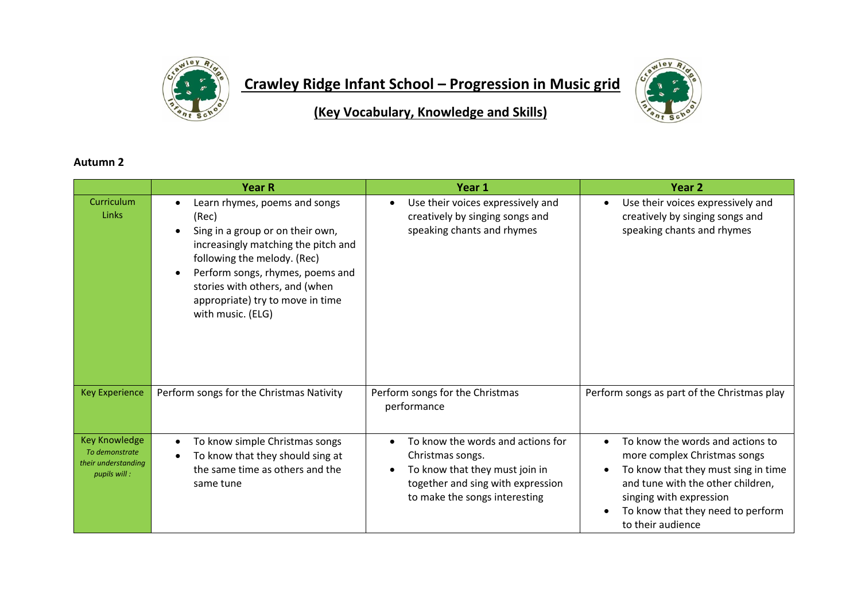

## **Crawley Ridge Infant School – Progression in Music grid**



**(Key Vocabulary, Knowledge and Skills)**

## **Autumn 2**

|                                                                               | <b>Year R</b>                                                                                                                                                                                                                                                                   | Year 1                                                                                                                                                        | Year 2                                                                                                                                                                                                                            |
|-------------------------------------------------------------------------------|---------------------------------------------------------------------------------------------------------------------------------------------------------------------------------------------------------------------------------------------------------------------------------|---------------------------------------------------------------------------------------------------------------------------------------------------------------|-----------------------------------------------------------------------------------------------------------------------------------------------------------------------------------------------------------------------------------|
| Curriculum<br>Links                                                           | Learn rhymes, poems and songs<br>(Rec)<br>Sing in a group or on their own,<br>increasingly matching the pitch and<br>following the melody. (Rec)<br>Perform songs, rhymes, poems and<br>stories with others, and (when<br>appropriate) try to move in time<br>with music. (ELG) | Use their voices expressively and<br>creatively by singing songs and<br>speaking chants and rhymes                                                            | Use their voices expressively and<br>creatively by singing songs and<br>speaking chants and rhymes                                                                                                                                |
| <b>Key Experience</b>                                                         | Perform songs for the Christmas Nativity                                                                                                                                                                                                                                        | Perform songs for the Christmas<br>performance                                                                                                                | Perform songs as part of the Christmas play                                                                                                                                                                                       |
| <b>Key Knowledge</b><br>To demonstrate<br>their understanding<br>pupils will: | To know simple Christmas songs<br>To know that they should sing at<br>the same time as others and the<br>same tune                                                                                                                                                              | To know the words and actions for<br>Christmas songs.<br>To know that they must join in<br>together and sing with expression<br>to make the songs interesting | To know the words and actions to<br>more complex Christmas songs<br>To know that they must sing in time<br>and tune with the other children,<br>singing with expression<br>To know that they need to perform<br>to their audience |